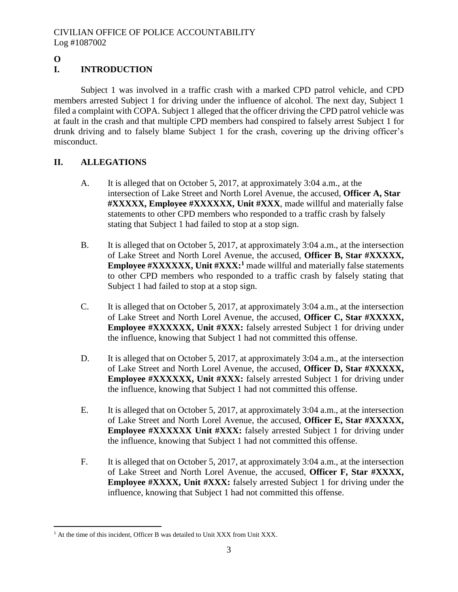# **O**

 $\overline{a}$ 

# **I. INTRODUCTION**

Subject 1 was involved in a traffic crash with a marked CPD patrol vehicle, and CPD members arrested Subject 1 for driving under the influence of alcohol. The next day, Subject 1 filed a complaint with COPA. Subject 1 alleged that the officer driving the CPD patrol vehicle was at fault in the crash and that multiple CPD members had conspired to falsely arrest Subject 1 for drunk driving and to falsely blame Subject 1 for the crash, covering up the driving officer's misconduct.

# **II. ALLEGATIONS**

- A. It is alleged that on October 5, 2017, at approximately 3:04 a.m., at the intersection of Lake Street and North Lorel Avenue, the accused, **Officer A, Star #XXXXX, Employee #XXXXXX, Unit #XXX**, made willful and materially false statements to other CPD members who responded to a traffic crash by falsely stating that Subject 1 had failed to stop at a stop sign.
- B. It is alleged that on October 5, 2017, at approximately 3:04 a.m., at the intersection of Lake Street and North Lorel Avenue, the accused, **Officer B, Star #XXXXX, Employee #XXXXXX, Unit #XXX:**<sup>1</sup> made willful and materially false statements to other CPD members who responded to a traffic crash by falsely stating that Subject 1 had failed to stop at a stop sign.
- C. It is alleged that on October 5, 2017, at approximately 3:04 a.m., at the intersection of Lake Street and North Lorel Avenue, the accused, **Officer C, Star #XXXXX, Employee #XXXXXX, Unit #XXX:** falsely arrested Subject 1 for driving under the influence, knowing that Subject 1 had not committed this offense.
- D. It is alleged that on October 5, 2017, at approximately 3:04 a.m., at the intersection of Lake Street and North Lorel Avenue, the accused, **Officer D, Star #XXXXX, Employee #XXXXXX, Unit #XXX:** falsely arrested Subject 1 for driving under the influence, knowing that Subject 1 had not committed this offense.
- E. It is alleged that on October 5, 2017, at approximately 3:04 a.m., at the intersection of Lake Street and North Lorel Avenue, the accused, **Officer E, Star #XXXXX, Employee #XXXXXX** Unit #XXX: falsely arrested Subject 1 for driving under the influence, knowing that Subject 1 had not committed this offense.
- F. It is alleged that on October 5, 2017, at approximately 3:04 a.m., at the intersection of Lake Street and North Lorel Avenue, the accused, **Officer F, Star #XXXX, Employee #XXXX, Unit #XXX:** falsely arrested Subject 1 for driving under the influence, knowing that Subject 1 had not committed this offense.

<sup>&</sup>lt;sup>1</sup> At the time of this incident, Officer B was detailed to Unit XXX from Unit XXX.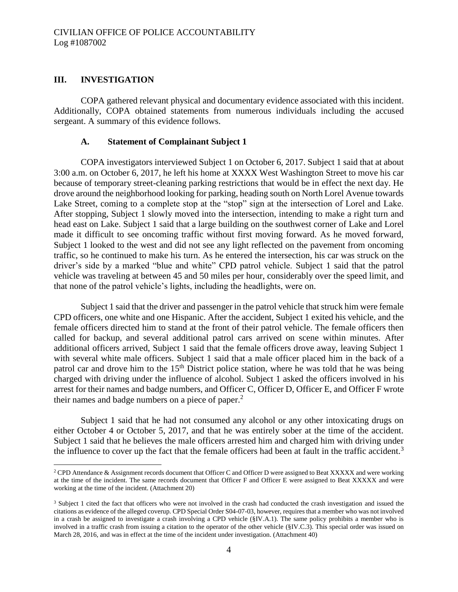#### **III. INVESTIGATION**

 $\overline{a}$ 

COPA gathered relevant physical and documentary evidence associated with this incident. Additionally, COPA obtained statements from numerous individuals including the accused sergeant. A summary of this evidence follows.

#### **A. Statement of Complainant Subject 1**

COPA investigators interviewed Subject 1 on October 6, 2017. Subject 1 said that at about 3:00 a.m. on October 6, 2017, he left his home at XXXX West Washington Street to move his car because of temporary street-cleaning parking restrictions that would be in effect the next day. He drove around the neighborhood looking for parking, heading south on North Lorel Avenue towards Lake Street, coming to a complete stop at the "stop" sign at the intersection of Lorel and Lake. After stopping, Subject 1 slowly moved into the intersection, intending to make a right turn and head east on Lake. Subject 1 said that a large building on the southwest corner of Lake and Lorel made it difficult to see oncoming traffic without first moving forward. As he moved forward, Subject 1 looked to the west and did not see any light reflected on the pavement from oncoming traffic, so he continued to make his turn. As he entered the intersection, his car was struck on the driver's side by a marked "blue and white" CPD patrol vehicle. Subject 1 said that the patrol vehicle was traveling at between 45 and 50 miles per hour, considerably over the speed limit, and that none of the patrol vehicle's lights, including the headlights, were on.

Subject 1 said that the driver and passenger in the patrol vehicle that struck him were female CPD officers, one white and one Hispanic. After the accident, Subject 1 exited his vehicle, and the female officers directed him to stand at the front of their patrol vehicle. The female officers then called for backup, and several additional patrol cars arrived on scene within minutes. After additional officers arrived, Subject 1 said that the female officers drove away, leaving Subject 1 with several white male officers. Subject 1 said that a male officer placed him in the back of a patrol car and drove him to the  $15<sup>th</sup>$  District police station, where he was told that he was being charged with driving under the influence of alcohol. Subject 1 asked the officers involved in his arrest for their names and badge numbers, and Officer C, Officer D, Officer E, and Officer F wrote their names and badge numbers on a piece of paper.<sup>2</sup>

Subject 1 said that he had not consumed any alcohol or any other intoxicating drugs on either October 4 or October 5, 2017, and that he was entirely sober at the time of the accident. Subject 1 said that he believes the male officers arrested him and charged him with driving under the influence to cover up the fact that the female officers had been at fault in the traffic accident.<sup>3</sup>

<sup>&</sup>lt;sup>2</sup> CPD Attendance & Assignment records document that Officer C and Officer D were assigned to Beat XXXXX and were working at the time of the incident. The same records document that Officer F and Officer E were assigned to Beat XXXXX and were working at the time of the incident. (Attachment 20)

<sup>&</sup>lt;sup>3</sup> Subject 1 cited the fact that officers who were not involved in the crash had conducted the crash investigation and issued the citations as evidence of the alleged coverup. CPD Special Order S04-07-03, however, requires that a member who was not involved in a crash be assigned to investigate a crash involving a CPD vehicle (§IV.A.1). The same policy prohibits a member who is involved in a traffic crash from issuing a citation to the operator of the other vehicle (§IV.C.3). This special order was issued on March 28, 2016, and was in effect at the time of the incident under investigation. (Attachment 40)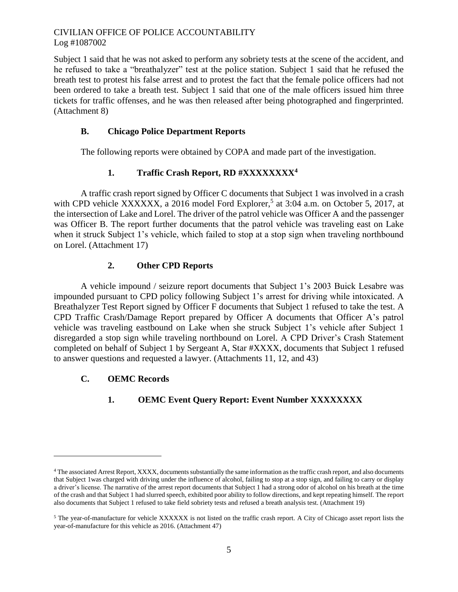Subject 1 said that he was not asked to perform any sobriety tests at the scene of the accident, and he refused to take a "breathalyzer" test at the police station. Subject 1 said that he refused the breath test to protest his false arrest and to protest the fact that the female police officers had not been ordered to take a breath test. Subject 1 said that one of the male officers issued him three tickets for traffic offenses, and he was then released after being photographed and fingerprinted. (Attachment 8)

## **B. Chicago Police Department Reports**

The following reports were obtained by COPA and made part of the investigation.

# **1. Traffic Crash Report, RD #XXXXXXXX<sup>4</sup>**

A traffic crash report signed by Officer C documents that Subject 1 was involved in a crash with CPD vehicle XXXXXX, a 2016 model Ford Explorer,<sup>5</sup> at 3:04 a.m. on October 5, 2017, at the intersection of Lake and Lorel. The driver of the patrol vehicle was Officer A and the passenger was Officer B. The report further documents that the patrol vehicle was traveling east on Lake when it struck Subject 1's vehicle, which failed to stop at a stop sign when traveling northbound on Lorel. (Attachment 17)

# **2. Other CPD Reports**

A vehicle impound / seizure report documents that Subject 1's 2003 Buick Lesabre was impounded pursuant to CPD policy following Subject 1's arrest for driving while intoxicated. A Breathalyzer Test Report signed by Officer F documents that Subject 1 refused to take the test. A CPD Traffic Crash/Damage Report prepared by Officer A documents that Officer A's patrol vehicle was traveling eastbound on Lake when she struck Subject 1's vehicle after Subject 1 disregarded a stop sign while traveling northbound on Lorel. A CPD Driver's Crash Statement completed on behalf of Subject 1 by Sergeant A, Star #XXXX, documents that Subject 1 refused to answer questions and requested a lawyer. (Attachments 11, 12, and 43)

# **C. OEMC Records**

 $\overline{a}$ 

# **1. OEMC Event Query Report: Event Number XXXXXXXX**

<sup>&</sup>lt;sup>4</sup> The associated Arrest Report, XXXX, documents substantially the same information as the traffic crash report, and also documents that Subject 1was charged with driving under the influence of alcohol, failing to stop at a stop sign, and failing to carry or display a driver's license. The narrative of the arrest report documents that Subject 1 had a strong odor of alcohol on his breath at the time of the crash and that Subject 1 had slurred speech, exhibited poor ability to follow directions, and kept repeating himself. The report also documents that Subject 1 refused to take field sobriety tests and refused a breath analysis test. (Attachment 19)

<sup>&</sup>lt;sup>5</sup> The year-of-manufacture for vehicle XXXXXX is not listed on the traffic crash report. A City of Chicago asset report lists the year-of-manufacture for this vehicle as 2016. (Attachment 47)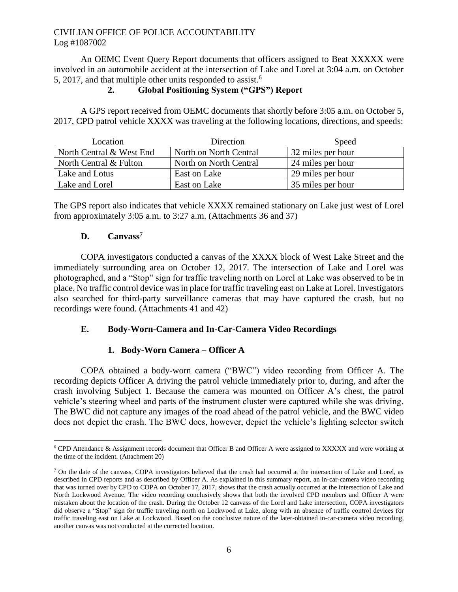An OEMC Event Query Report documents that officers assigned to Beat XXXXX were involved in an automobile accident at the intersection of Lake and Lorel at 3:04 a.m. on October 5, 2017, and that multiple other units responded to assist.<sup>6</sup>

## **2. Global Positioning System ("GPS") Report**

A GPS report received from OEMC documents that shortly before 3:05 a.m. on October 5, 2017, CPD patrol vehicle XXXX was traveling at the following locations, directions, and speeds:

| Location                 | Direction              | Speed             |
|--------------------------|------------------------|-------------------|
| North Central & West End | North on North Central | 32 miles per hour |
| North Central & Fulton   | North on North Central | 24 miles per hour |
| Lake and Lotus           | East on Lake           | 29 miles per hour |
| Lake and Lorel           | East on Lake           | 35 miles per hour |

The GPS report also indicates that vehicle XXXX remained stationary on Lake just west of Lorel from approximately 3:05 a.m. to 3:27 a.m. (Attachments 36 and 37)

### **D. Canvass<sup>7</sup>**

COPA investigators conducted a canvas of the XXXX block of West Lake Street and the immediately surrounding area on October 12, 2017. The intersection of Lake and Lorel was photographed, and a "Stop" sign for traffic traveling north on Lorel at Lake was observed to be in place. No traffic control device was in place for traffic traveling east on Lake at Lorel. Investigators also searched for third-party surveillance cameras that may have captured the crash, but no recordings were found. (Attachments 41 and 42)

## **E. Body-Worn-Camera and In-Car-Camera Video Recordings**

# **1. Body-Worn Camera – Officer A**

COPA obtained a body-worn camera ("BWC") video recording from Officer A. The recording depicts Officer A driving the patrol vehicle immediately prior to, during, and after the crash involving Subject 1. Because the camera was mounted on Officer A's chest, the patrol vehicle's steering wheel and parts of the instrument cluster were captured while she was driving. The BWC did not capture any images of the road ahead of the patrol vehicle, and the BWC video does not depict the crash. The BWC does, however, depict the vehicle's lighting selector switch

 $\overline{a}$ <sup>6</sup> CPD Attendance & Assignment records document that Officer B and Officer A were assigned to XXXXX and were working at the time of the incident. (Attachment 20)

<sup>7</sup> On the date of the canvass, COPA investigators believed that the crash had occurred at the intersection of Lake and Lorel, as described in CPD reports and as described by Officer A. As explained in this summary report, an in-car-camera video recording that was turned over by CPD to COPA on October 17, 2017, shows that the crash actually occurred at the intersection of Lake and North Lockwood Avenue. The video recording conclusively shows that both the involved CPD members and Officer A were mistaken about the location of the crash. During the October 12 canvass of the Lorel and Lake intersection, COPA investigators did observe a "Stop" sign for traffic traveling north on Lockwood at Lake, along with an absence of traffic control devices for traffic traveling east on Lake at Lockwood. Based on the conclusive nature of the later-obtained in-car-camera video recording, another canvas was not conducted at the corrected location.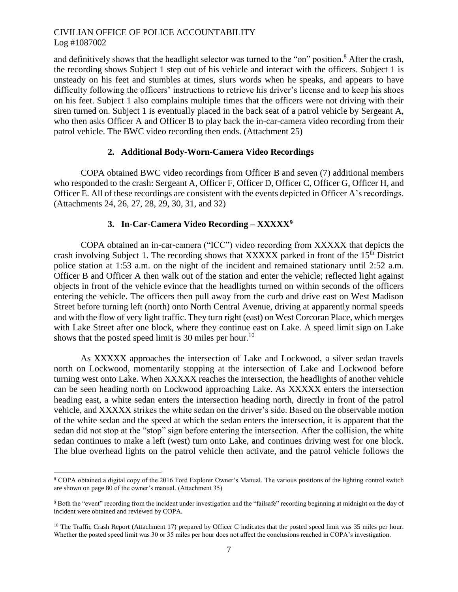and definitively shows that the headlight selector was turned to the "on" position.<sup>8</sup> After the crash, the recording shows Subject 1 step out of his vehicle and interact with the officers. Subject 1 is unsteady on his feet and stumbles at times, slurs words when he speaks, and appears to have difficulty following the officers' instructions to retrieve his driver's license and to keep his shoes on his feet. Subject 1 also complains multiple times that the officers were not driving with their siren turned on. Subject 1 is eventually placed in the back seat of a patrol vehicle by Sergeant A, who then asks Officer A and Officer B to play back the in-car-camera video recording from their patrol vehicle. The BWC video recording then ends. (Attachment 25)

#### **2. Additional Body-Worn-Camera Video Recordings**

COPA obtained BWC video recordings from Officer B and seven (7) additional members who responded to the crash: Sergeant A, Officer F, Officer D, Officer C, Officer G, Officer H, and Officer E. All of these recordings are consistent with the events depicted in Officer A's recordings. (Attachments 24, 26, 27, 28, 29, 30, 31, and 32)

#### **3. In-Car-Camera Video Recording – XXXXX<sup>9</sup>**

COPA obtained an in-car-camera ("ICC") video recording from XXXXX that depicts the crash involving Subject 1. The recording shows that XXXXX parked in front of the 15<sup>th</sup> District police station at 1:53 a.m. on the night of the incident and remained stationary until 2:52 a.m. Officer B and Officer A then walk out of the station and enter the vehicle; reflected light against objects in front of the vehicle evince that the headlights turned on within seconds of the officers entering the vehicle. The officers then pull away from the curb and drive east on West Madison Street before turning left (north) onto North Central Avenue, driving at apparently normal speeds and with the flow of very light traffic. They turn right (east) on West Corcoran Place, which merges with Lake Street after one block, where they continue east on Lake. A speed limit sign on Lake shows that the posted speed limit is 30 miles per hour.<sup>10</sup>

As XXXXX approaches the intersection of Lake and Lockwood, a silver sedan travels north on Lockwood, momentarily stopping at the intersection of Lake and Lockwood before turning west onto Lake. When XXXXX reaches the intersection, the headlights of another vehicle can be seen heading north on Lockwood approaching Lake. As XXXXX enters the intersection heading east, a white sedan enters the intersection heading north, directly in front of the patrol vehicle, and XXXXX strikes the white sedan on the driver's side. Based on the observable motion of the white sedan and the speed at which the sedan enters the intersection, it is apparent that the sedan did not stop at the "stop" sign before entering the intersection. After the collision, the white sedan continues to make a left (west) turn onto Lake, and continues driving west for one block. The blue overhead lights on the patrol vehicle then activate, and the patrol vehicle follows the

 $\overline{a}$ 

<sup>8</sup> COPA obtained a digital copy of the 2016 Ford Explorer Owner's Manual. The various positions of the lighting control switch are shown on page 80 of the owner's manual. (Attachment 35)

<sup>9</sup> Both the "event" recording from the incident under investigation and the "failsafe" recording beginning at midnight on the day of incident were obtained and reviewed by COPA.

<sup>&</sup>lt;sup>10</sup> The Traffic Crash Report (Attachment 17) prepared by Officer C indicates that the posted speed limit was 35 miles per hour. Whether the posted speed limit was 30 or 35 miles per hour does not affect the conclusions reached in COPA's investigation.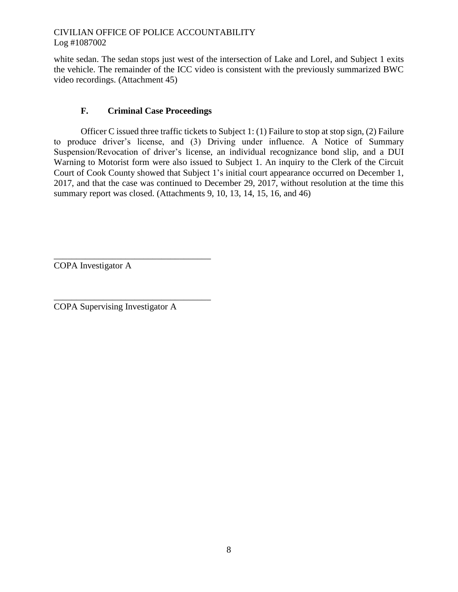white sedan. The sedan stops just west of the intersection of Lake and Lorel, and Subject 1 exits the vehicle. The remainder of the ICC video is consistent with the previously summarized BWC video recordings. (Attachment 45)

## **F. Criminal Case Proceedings**

Officer C issued three traffic tickets to Subject 1: (1) Failure to stop at stop sign, (2) Failure to produce driver's license, and (3) Driving under influence. A Notice of Summary Suspension/Revocation of driver's license, an individual recognizance bond slip, and a DUI Warning to Motorist form were also issued to Subject 1. An inquiry to the Clerk of the Circuit Court of Cook County showed that Subject 1's initial court appearance occurred on December 1, 2017, and that the case was continued to December 29, 2017, without resolution at the time this summary report was closed. (Attachments 9, 10, 13, 14, 15, 16, and 46)

\_\_\_\_\_\_\_\_\_\_\_\_\_\_\_\_\_\_\_\_\_\_\_\_\_\_\_\_\_\_\_\_\_\_\_ COPA Investigator A

COPA Supervising Investigator A

\_\_\_\_\_\_\_\_\_\_\_\_\_\_\_\_\_\_\_\_\_\_\_\_\_\_\_\_\_\_\_\_\_\_\_